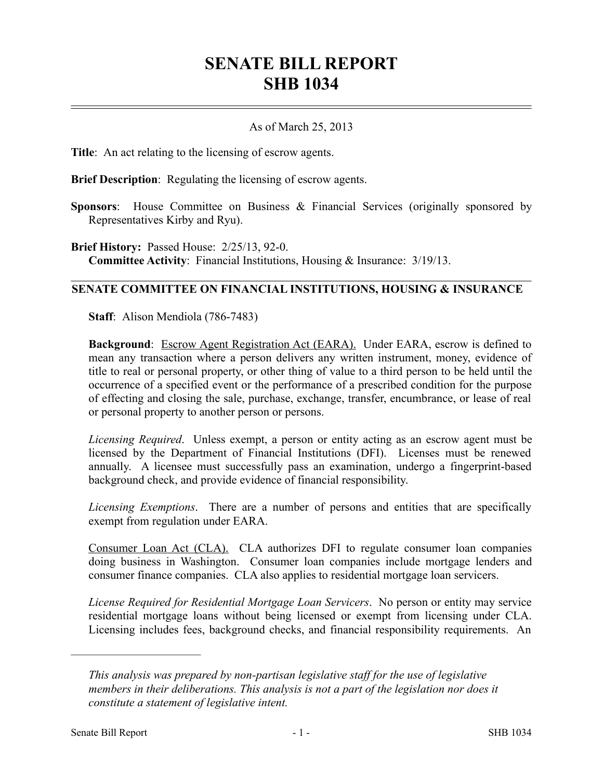## **SENATE BILL REPORT SHB 1034**

## As of March 25, 2013

**Title**: An act relating to the licensing of escrow agents.

**Brief Description**: Regulating the licensing of escrow agents.

**Sponsors**: House Committee on Business & Financial Services (originally sponsored by Representatives Kirby and Ryu).

**Brief History:** Passed House: 2/25/13, 92-0. **Committee Activity**: Financial Institutions, Housing & Insurance: 3/19/13.

## **SENATE COMMITTEE ON FINANCIAL INSTITUTIONS, HOUSING & INSURANCE**

**Staff**: Alison Mendiola (786-7483)

**Background:** Escrow Agent Registration Act (EARA). Under EARA, escrow is defined to mean any transaction where a person delivers any written instrument, money, evidence of title to real or personal property, or other thing of value to a third person to be held until the occurrence of a specified event or the performance of a prescribed condition for the purpose of effecting and closing the sale, purchase, exchange, transfer, encumbrance, or lease of real or personal property to another person or persons.

*Licensing Required*. Unless exempt, a person or entity acting as an escrow agent must be licensed by the Department of Financial Institutions (DFI). Licenses must be renewed annually. A licensee must successfully pass an examination, undergo a fingerprint-based background check, and provide evidence of financial responsibility.

*Licensing Exemptions*. There are a number of persons and entities that are specifically exempt from regulation under EARA.

Consumer Loan Act (CLA). CLA authorizes DFI to regulate consumer loan companies doing business in Washington. Consumer loan companies include mortgage lenders and consumer finance companies. CLA also applies to residential mortgage loan servicers.

*License Required for Residential Mortgage Loan Servicers*. No person or entity may service residential mortgage loans without being licensed or exempt from licensing under CLA. Licensing includes fees, background checks, and financial responsibility requirements. An

––––––––––––––––––––––

*This analysis was prepared by non-partisan legislative staff for the use of legislative members in their deliberations. This analysis is not a part of the legislation nor does it constitute a statement of legislative intent.*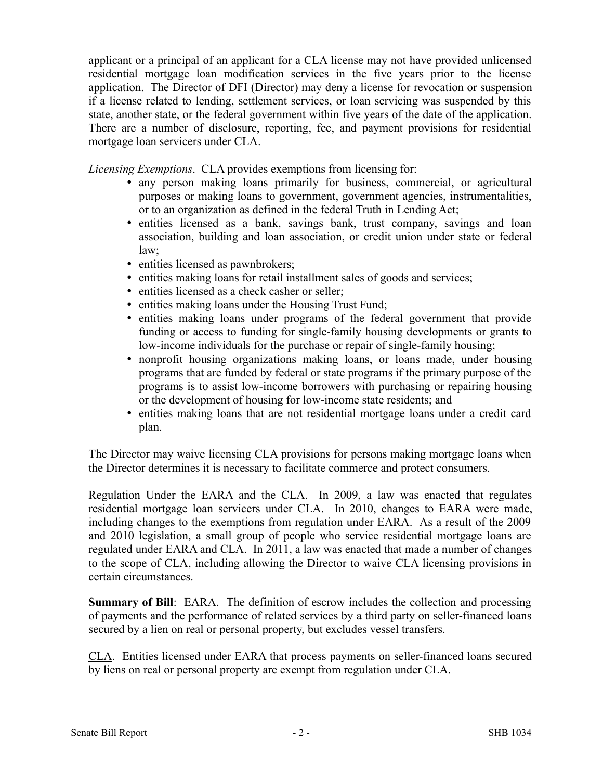applicant or a principal of an applicant for a CLA license may not have provided unlicensed residential mortgage loan modification services in the five years prior to the license application. The Director of DFI (Director) may deny a license for revocation or suspension if a license related to lending, settlement services, or loan servicing was suspended by this state, another state, or the federal government within five years of the date of the application. There are a number of disclosure, reporting, fee, and payment provisions for residential mortgage loan servicers under CLA.

*Licensing Exemptions*. CLA provides exemptions from licensing for:

- any person making loans primarily for business, commercial, or agricultural purposes or making loans to government, government agencies, instrumentalities, or to an organization as defined in the federal Truth in Lending Act;
- entities licensed as a bank, savings bank, trust company, savings and loan association, building and loan association, or credit union under state or federal law;
- entities licensed as pawnbrokers;
- entities making loans for retail installment sales of goods and services;
- entities licensed as a check casher or seller;
- entities making loans under the Housing Trust Fund;
- entities making loans under programs of the federal government that provide funding or access to funding for single-family housing developments or grants to low-income individuals for the purchase or repair of single-family housing;
- nonprofit housing organizations making loans, or loans made, under housing programs that are funded by federal or state programs if the primary purpose of the programs is to assist low-income borrowers with purchasing or repairing housing or the development of housing for low-income state residents; and
- entities making loans that are not residential mortgage loans under a credit card plan.

The Director may waive licensing CLA provisions for persons making mortgage loans when the Director determines it is necessary to facilitate commerce and protect consumers.

Regulation Under the EARA and the CLA. In 2009, a law was enacted that regulates residential mortgage loan servicers under CLA. In 2010, changes to EARA were made, including changes to the exemptions from regulation under EARA. As a result of the 2009 and 2010 legislation, a small group of people who service residential mortgage loans are regulated under EARA and CLA. In 2011, a law was enacted that made a number of changes to the scope of CLA, including allowing the Director to waive CLA licensing provisions in certain circumstances.

**Summary of Bill**: EARA. The definition of escrow includes the collection and processing of payments and the performance of related services by a third party on seller-financed loans secured by a lien on real or personal property, but excludes vessel transfers.

CLA. Entities licensed under EARA that process payments on seller-financed loans secured by liens on real or personal property are exempt from regulation under CLA.